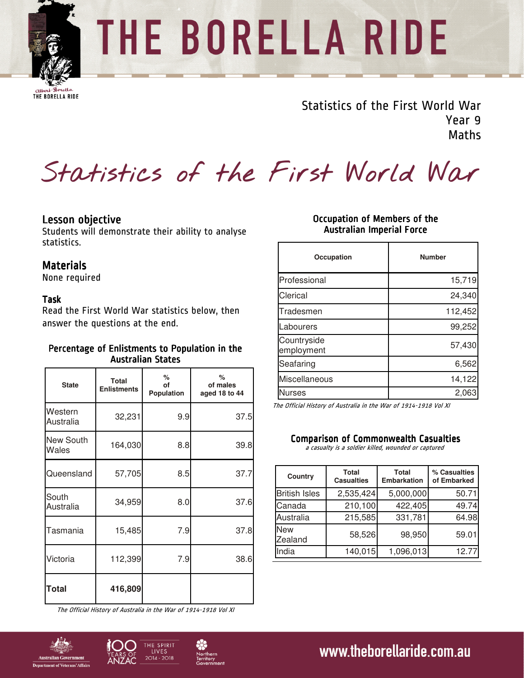

# THE BORELLA RIDE

**CHOCK** BORELLA RIDE

Statistics of the First World War Year 9 Maths

**Statistics of the First World War** 

# Lesson objective

Students will demonstrate their ability to analyse statistics.

## **Materials**

None required

### Task

Read the First World War statistics below, then answer the questions at the end.

## Percentage of Enlistments to Population in the Australian States

| <b>State</b>              | Total<br><b>Enlistments</b> | ℅<br>οf<br>Population | %<br>of males<br>aged 18 to 44 |
|---------------------------|-----------------------------|-----------------------|--------------------------------|
| Western<br>Australia      | 32,231                      | 9.9                   | 37.5                           |
| <b>New South</b><br>Wales | 164,030                     | 8.8                   | 39.8                           |
| Queensland                | 57,705                      | 8.5                   | 37.7                           |
| South<br>Australia        | 34,959                      | 8.0                   | 37.6                           |
| Tasmania                  | 15,485                      | 7.9                   | 37.8                           |
| Victoria                  | 112,399                     | 7.9                   | 38.6                           |
| <b>Total</b>              | 416,809                     |                       |                                |

The Official History of Australia in the War of 1914-1918 Vol XI

## Occupation of Members of the Australian Imperial Force

| Occupation                | <b>Number</b> |
|---------------------------|---------------|
| Professional              | 15,719        |
| Clerical                  | 24,340        |
| Tradesmen                 | 112,452       |
| Labourers                 | 99,252        |
| Countryside<br>employment | 57,430        |
| Seafaring                 | 6,562         |
| Miscellaneous             | 14,122        |
| <b>Nurses</b>             | 2,063         |

The Official History of Australia in the War of 1914-1918 Vol XI

#### **Comparison of Commonwealth Casualties**

a casualty is a soldier killed, wounded or captured

| Country               | <b>Total</b><br><b>Casualties</b> | <b>Total</b><br><b>Embarkation</b> | % Casualties<br>of Embarked |
|-----------------------|-----------------------------------|------------------------------------|-----------------------------|
| <b>British Isles</b>  | 2,535,424                         | 5,000,000                          | 50.71                       |
| Canada                | 210,100                           | 422,405                            | 49.74                       |
| Australia             | 215,585                           | 331,781                            | 64.98                       |
| <b>New</b><br>Zealand | 58,526                            | 98,950                             | 59.01                       |
| India                 | 140,015                           | 1,096,013                          | 12.77                       |





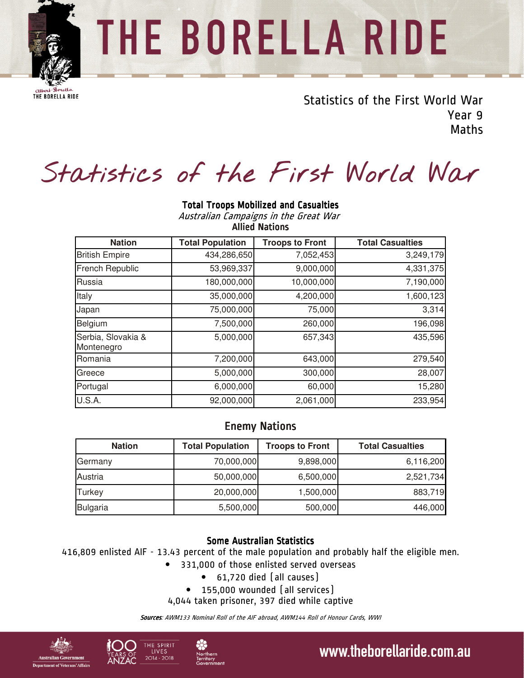

# THE BORELLA RIDE

**CHOCK** BORELLA RIDE

Statistics of the First World War Year 9 Maths

# **Statistics of the First World War**

| nasa anan campaigns in the orcat rran<br><b>Allied Nations</b> |                         |                        |                         |  |  |
|----------------------------------------------------------------|-------------------------|------------------------|-------------------------|--|--|
| <b>Nation</b>                                                  | <b>Total Population</b> | <b>Troops to Front</b> | <b>Total Casualties</b> |  |  |
| <b>British Empire</b>                                          | 434,286,650             | 7,052,453              | 3,249,179               |  |  |
| <b>French Republic</b>                                         | 53,969,337              | 9,000,000              | 4,331,375               |  |  |
| Russia                                                         | 180,000,000             | 10,000,000             | 7,190,000               |  |  |
| Italy                                                          | 35,000,000              | 4,200,000              | 1,600,123               |  |  |
| Japan                                                          | 75,000,000              | 75,000                 | 3,314                   |  |  |
| Belgium                                                        | 7,500,000               | 260,000                | 196,098                 |  |  |
| Serbia, Slovakia &<br>Montenegro                               | 5,000,000               | 657,343                | 435,596                 |  |  |
| Romania                                                        | 7,200,000               | 643,000                | 279,540                 |  |  |
| Greece                                                         | 5,000,000               | 300,000                | 28,007                  |  |  |
| Portugal                                                       | 6,000,000               | 60,000                 | 15,280                  |  |  |
| U.S.A.                                                         | 92,000,000              | 2,061,000              | 233,954                 |  |  |

#### **Total Troops Mobilized and Casualties** Australian Campaigns in the Great War

# **Enemy Nations**

| <b>Nation</b>   | <b>Total Population</b> | <b>Troops to Front</b> | <b>Total Casualties</b> |
|-----------------|-------------------------|------------------------|-------------------------|
| Germany         | 70,000,000              | 9,898,000              | 6,116,200               |
| Austria         | 50,000,000              | 6,500,000              | 2,521,734               |
| <b>Turkey</b>   | 20,000,000              | 1,500,000              | 883,719                 |
| <b>Bulgaria</b> | 5,500,000               | 500,000                | 446,000                 |

# **Some Australian Statistics**

416,809 enlisted AIF - 13.43 percent of the male population and probably half the eligible men.

- 331,000 of those enlisted served overseas
	- 61,720 died (all causes)
- 155,000 wounded (all services)

4,044 taken prisoner, 397 died while captive

Sources: AWM133 Nominal Roll of the AIF abroad, AWM144 Roll of Honour Cards, WWI







# www.theborellaride.com.au